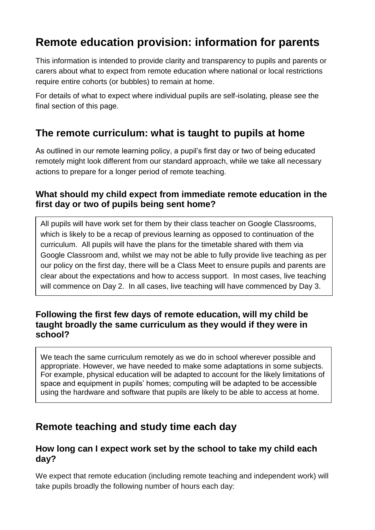# **Remote education provision: information for parents**

This information is intended to provide clarity and transparency to pupils and parents or carers about what to expect from remote education where national or local restrictions require entire cohorts (or bubbles) to remain at home.

For details of what to expect where individual pupils are self-isolating, please see the final section of this page.

### **The remote curriculum: what is taught to pupils at home**

As outlined in our remote learning policy, a pupil's first day or two of being educated remotely might look different from our standard approach, while we take all necessary actions to prepare for a longer period of remote teaching.

#### **What should my child expect from immediate remote education in the first day or two of pupils being sent home?**

All pupils will have work set for them by their class teacher on Google Classrooms, which is likely to be a recap of previous learning as opposed to continuation of the curriculum. All pupils will have the plans for the timetable shared with them via Google Classroom and, whilst we may not be able to fully provide live teaching as per our policy on the first day, there will be a Class Meet to ensure pupils and parents are clear about the expectations and how to access support. In most cases, live teaching will commence on Day 2. In all cases, live teaching will have commenced by Day 3.

#### **Following the first few days of remote education, will my child be taught broadly the same curriculum as they would if they were in school?**

We teach the same curriculum remotely as we do in school wherever possible and appropriate. However, we have needed to make some adaptations in some subjects. For example, physical education will be adapted to account for the likely limitations of space and equipment in pupils' homes; computing will be adapted to be accessible using the hardware and software that pupils are likely to be able to access at home.

# **Remote teaching and study time each day**

#### **How long can I expect work set by the school to take my child each day?**

We expect that remote education (including remote teaching and independent work) will take pupils broadly the following number of hours each day: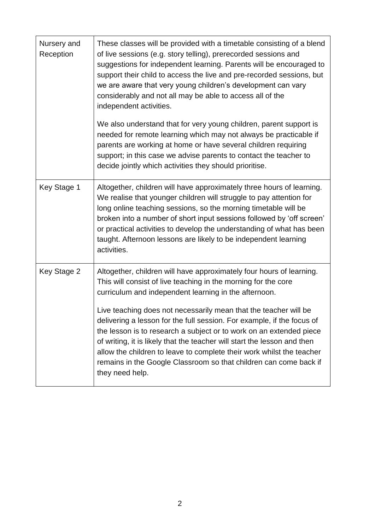| Nursery and<br>Reception | These classes will be provided with a timetable consisting of a blend<br>of live sessions (e.g. story telling), prerecorded sessions and<br>suggestions for independent learning. Parents will be encouraged to<br>support their child to access the live and pre-recorded sessions, but<br>we are aware that very young children's development can vary<br>considerably and not all may be able to access all of the<br>independent activities.                                                                                                                                                                                                                  |
|--------------------------|-------------------------------------------------------------------------------------------------------------------------------------------------------------------------------------------------------------------------------------------------------------------------------------------------------------------------------------------------------------------------------------------------------------------------------------------------------------------------------------------------------------------------------------------------------------------------------------------------------------------------------------------------------------------|
|                          | We also understand that for very young children, parent support is<br>needed for remote learning which may not always be practicable if<br>parents are working at home or have several children requiring<br>support; in this case we advise parents to contact the teacher to<br>decide jointly which activities they should prioritise.                                                                                                                                                                                                                                                                                                                         |
| Key Stage 1              | Altogether, children will have approximately three hours of learning.<br>We realise that younger children will struggle to pay attention for<br>long online teaching sessions, so the morning timetable will be<br>broken into a number of short input sessions followed by 'off screen'<br>or practical activities to develop the understanding of what has been<br>taught. Afternoon lessons are likely to be independent learning<br>activities.                                                                                                                                                                                                               |
| Key Stage 2              | Altogether, children will have approximately four hours of learning.<br>This will consist of live teaching in the morning for the core<br>curriculum and independent learning in the afternoon.<br>Live teaching does not necessarily mean that the teacher will be<br>delivering a lesson for the full session. For example, if the focus of<br>the lesson is to research a subject or to work on an extended piece<br>of writing, it is likely that the teacher will start the lesson and then<br>allow the children to leave to complete their work whilst the teacher<br>remains in the Google Classroom so that children can come back if<br>they need help. |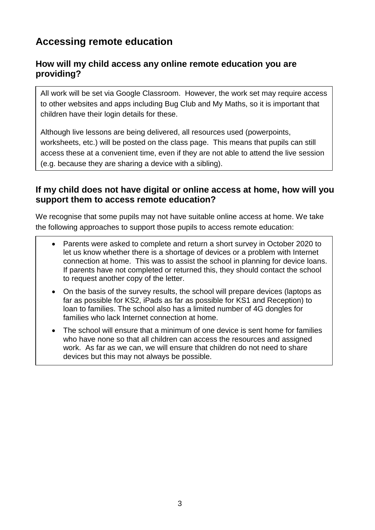# **Accessing remote education**

### **How will my child access any online remote education you are providing?**

All work will be set via Google Classroom. However, the work set may require access to other websites and apps including Bug Club and My Maths, so it is important that children have their login details for these.

Although live lessons are being delivered, all resources used (powerpoints, worksheets, etc.) will be posted on the class page. This means that pupils can still access these at a convenient time, even if they are not able to attend the live session (e.g. because they are sharing a device with a sibling).

#### **If my child does not have digital or online access at home, how will you support them to access remote education?**

We recognise that some pupils may not have suitable online access at home. We take the following approaches to support those pupils to access remote education:

- Parents were asked to complete and return a short survey in October 2020 to let us know whether there is a shortage of devices or a problem with Internet connection at home. This was to assist the school in planning for device loans. If parents have not completed or returned this, they should contact the school to request another copy of the letter.
- On the basis of the survey results, the school will prepare devices (laptops as far as possible for KS2, iPads as far as possible for KS1 and Reception) to loan to families. The school also has a limited number of 4G dongles for families who lack Internet connection at home.
- The school will ensure that a minimum of one device is sent home for families who have none so that all children can access the resources and assigned work. As far as we can, we will ensure that children do not need to share devices but this may not always be possible.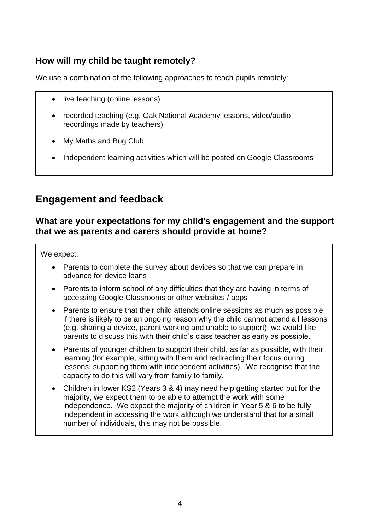### **How will my child be taught remotely?**

We use a combination of the following approaches to teach pupils remotely:

- live teaching (online lessons)
- recorded teaching (e.g. Oak National Academy lessons, video/audio recordings made by teachers)
- My Maths and Bug Club
- Independent learning activities which will be posted on Google Classrooms

### **Engagement and feedback**

#### **What are your expectations for my child's engagement and the support that we as parents and carers should provide at home?**

We expect:

- Parents to complete the survey about devices so that we can prepare in advance for device loans
- Parents to inform school of any difficulties that they are having in terms of accessing Google Classrooms or other websites / apps
- Parents to ensure that their child attends online sessions as much as possible; if there is likely to be an ongoing reason why the child cannot attend all lessons (e.g. sharing a device, parent working and unable to support), we would like parents to discuss this with their child's class teacher as early as possible.
- Parents of younger children to support their child, as far as possible, with their learning (for example, sitting with them and redirecting their focus during lessons, supporting them with independent activities). We recognise that the capacity to do this will vary from family to family.
- Children in lower KS2 (Years 3 & 4) may need help getting started but for the majority, we expect them to be able to attempt the work with some independence. We expect the majority of children in Year 5 & 6 to be fully independent in accessing the work although we understand that for a small number of individuals, this may not be possible.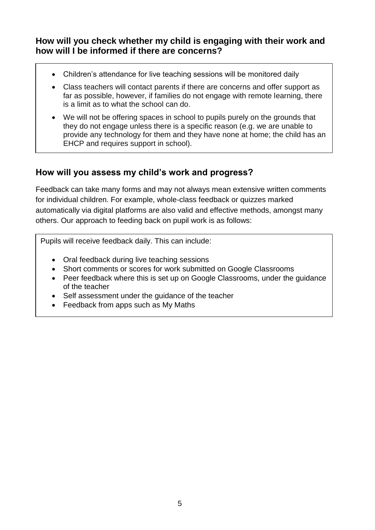**How will you check whether my child is engaging with their work and how will I be informed if there are concerns?**

- Children's attendance for live teaching sessions will be monitored daily
- Class teachers will contact parents if there are concerns and offer support as far as possible, however, if families do not engage with remote learning, there is a limit as to what the school can do.
- We will not be offering spaces in school to pupils purely on the grounds that they do not engage unless there is a specific reason (e.g. we are unable to provide any technology for them and they have none at home; the child has an EHCP and requires support in school).

#### **How will you assess my child's work and progress?**

Feedback can take many forms and may not always mean extensive written comments for individual children. For example, whole-class feedback or quizzes marked automatically via digital platforms are also valid and effective methods, amongst many others. Our approach to feeding back on pupil work is as follows:

Pupils will receive feedback daily. This can include:

- Oral feedback during live teaching sessions
- Short comments or scores for work submitted on Google Classrooms
- Peer feedback where this is set up on Google Classrooms, under the guidance of the teacher
- Self assessment under the quidance of the teacher
- Feedback from apps such as My Maths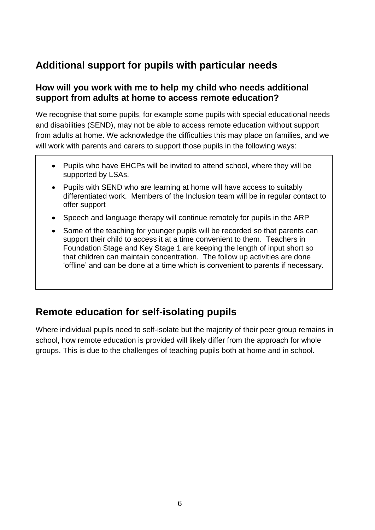# **Additional support for pupils with particular needs**

#### **How will you work with me to help my child who needs additional support from adults at home to access remote education?**

We recognise that some pupils, for example some pupils with special educational needs and disabilities (SEND), may not be able to access remote education without support from adults at home. We acknowledge the difficulties this may place on families, and we will work with parents and carers to support those pupils in the following ways:

- Pupils who have EHCPs will be invited to attend school, where they will be supported by LSAs.
- Pupils with SEND who are learning at home will have access to suitably differentiated work. Members of the Inclusion team will be in regular contact to offer support
- Speech and language therapy will continue remotely for pupils in the ARP
- Some of the teaching for younger pupils will be recorded so that parents can support their child to access it at a time convenient to them. Teachers in Foundation Stage and Key Stage 1 are keeping the length of input short so that children can maintain concentration. The follow up activities are done 'offline' and can be done at a time which is convenient to parents if necessary.

# **Remote education for self-isolating pupils**

Where individual pupils need to self-isolate but the majority of their peer group remains in school, how remote education is provided will likely differ from the approach for whole groups. This is due to the challenges of teaching pupils both at home and in school.